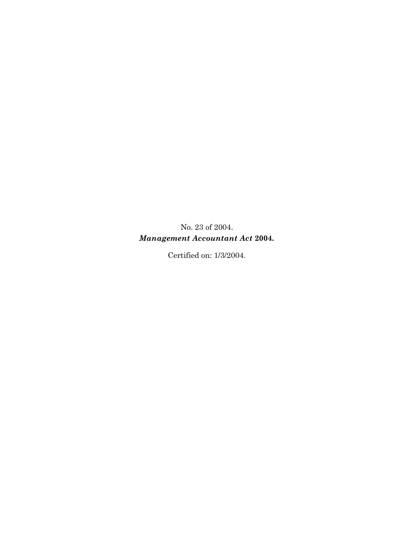No. 23 of 2004. *Management Accountant Act* **2004***.* 

Certified on: 1/3/2004.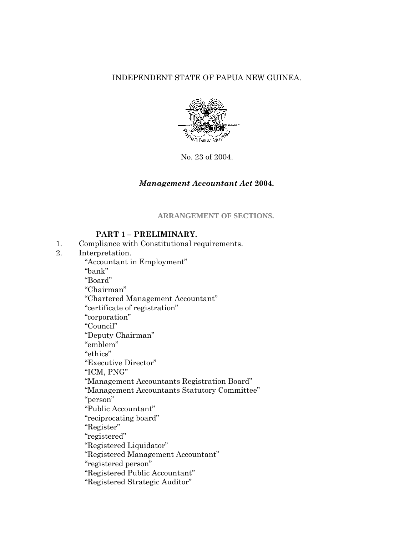### INDEPENDENT STATE OF PAPUA NEW GUINEA.



No. 23 of 2004.

#### *Management Accountant Act* **2004***.*

**ARRANGEMENT OF SECTIONS.** 

### **PART 1 – PRELIMINARY.**

- 1. Compliance with Constitutional requirements.
- 2. Interpretation.

"Accountant in Employment"

"bank"

"Board"

"Chairman"

"Chartered Management Accountant"

"certificate of registration"

"corporation"

"Council"

"Deputy Chairman"

"emblem"

"ethics"

"Executive Director"

"ICM, PNG"

"Management Accountants Registration Board"

"Management Accountants Statutory Committee"

"person"

"Public Accountant"

"reciprocating board"

"Register"

"registered"

"Registered Liquidator"

"Registered Management Accountant"

"registered person"

"Registered Public Accountant"

"Registered Strategic Auditor"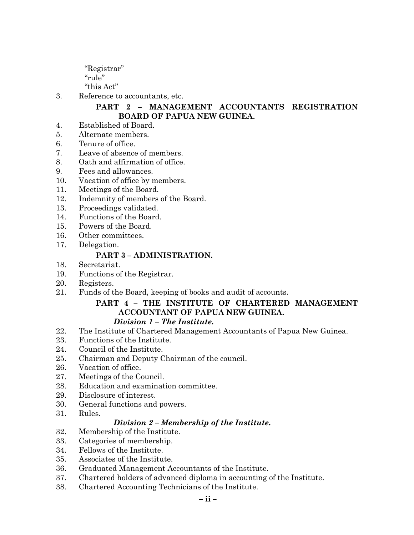"Registrar" "rule"

"this Act"

3. Reference to accountants, etc.

## **PART 2 – MANAGEMENT ACCOUNTANTS REGISTRATION BOARD OF PAPUA NEW GUINEA.**

- 4. Established of Board.
- 5. Alternate members.
- 6. Tenure of office.
- 7. Leave of absence of members.
- 8. Oath and affirmation of office.
- 9. Fees and allowances.
- 10. Vacation of office by members.
- 11. Meetings of the Board.
- 12. Indemnity of members of the Board.
- 13. Proceedings validated.
- 14. Functions of the Board.
- 15. Powers of the Board.
- 16. Other committees.
- 17. Delegation.

## **PART 3 – ADMINISTRATION.**

- 18. Secretariat.
- 19. Functions of the Registrar.
- 20. Registers.
- 21. Funds of the Board, keeping of books and audit of accounts.

# **PART 4 – THE INSTITUTE OF CHARTERED MANAGEMENT ACCOUNTANT OF PAPUA NEW GUINEA.**

## *Division 1 – The Institute.*

- 22. The Institute of Chartered Management Accountants of Papua New Guinea.
- 23. Functions of the Institute.
- 24. Council of the Institute.
- 25. Chairman and Deputy Chairman of the council.
- 26. Vacation of office.
- 27. Meetings of the Council.
- 28. Education and examination committee.
- 29. Disclosure of interest.
- 30. General functions and powers.
- 31. Rules.

## *Division 2 – Membership of the Institute.*

- 32. Membership of the Institute.
- 33. Categories of membership.
- 34. Fellows of the Institute.
- 35. Associates of the Institute.
- 36. Graduated Management Accountants of the Institute.
- 37. Chartered holders of advanced diploma in accounting of the Institute.
- 38. Chartered Accounting Technicians of the Institute.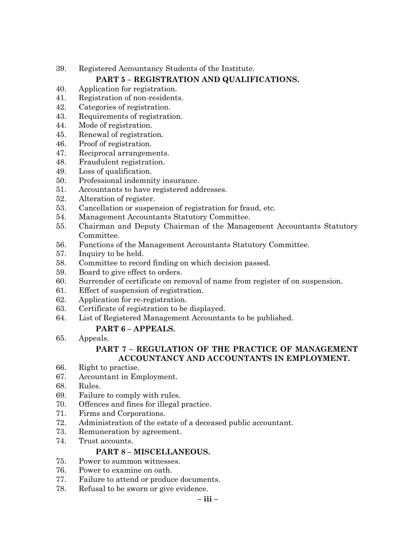39. Registered Accountancy Students of the Institute.

# **PART 5 – REGISTRATION AND QUALIFICATIONS.**

- 40. Application for registration.
- 41. Registration of non-residents.
- 42. Categories of registration.
- 43. Requirements of registration.
- 44. Mode of registration.
- 45. Renewal of registration.
- 46. Proof of registration.
- 47. Reciprocal arrangements.
- 48. Fraudulent registration.
- 49. Loss of qualification.
- 50. Professional indemnity insurance.
- 51. Accountants to have registered addresses.
- 52. Alteration of register.
- 53. Cancellation or suspension of registration for fraud, etc.
- 54. Management Accountants Statutory Committee.
- 55. Chairman and Deputy Chairman of the Management Accountants Statutory Committee.
- 56. Functions of the Management Accountants Statutory Committee.
- 57. Inquiry to be held.
- 58. Committee to record finding on which decision passed.
- 59. Board to give effect to orders.
- 60. Surrender of certificate on removal of name from register of on suspension.
- 61. Effect of suspension of registration.
- 62. Application for re-registration.
- 63. Certificate of registration to be displayed.
- 64. List of Registered Management Accountants to be published.

## **PART 6 – APPEALS.**

65. Appeals.

## **PART 7 – REGULATION OF THE PRACTICE OF MANAGEMENT ACCOUNTANCY AND ACCOUNTANTS IN EMPLOYMENT.**

- 66. Right to practise.
- 67. Accountant in Employment.
- 68. Rules.
- 69. Failure to comply with rules.
- 70. Offences and fines for illegal practice.
- 71. Firms and Corporations.
- 72. Administration of the estate of a deceased public accountant.
- 73. Remuneration by agreement.
- 74. Trust accounts.

# **PART 8 – MISCELLANEOUS.**

- 75. Power to summon witnesses.
- 76. Power to examine on oath.
- 77. Failure to attend or produce documents.
- 78. Refusal to be sworn or give evidence.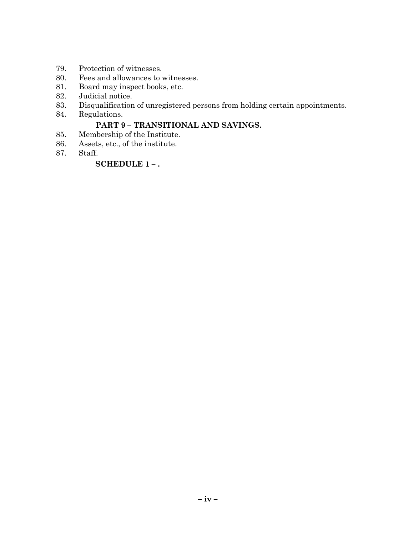- 79. Protection of witnesses.
- 80. Fees and allowances to witnesses.
- 81. Board may inspect books, etc.
- 82. Judicial notice.
- 83. Disqualification of unregistered persons from holding certain appointments.
- 84. Regulations.

## **PART 9 – TRANSITIONAL AND SAVINGS.**

- 85. Membership of the Institute.
- 86. Assets, etc., of the institute.
- 87. Staff.

## **SCHEDULE 1 – .**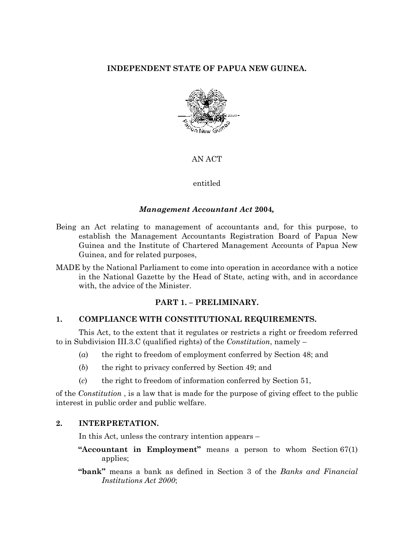## **INDEPENDENT STATE OF PAPUA NEW GUINEA.**



#### AN ACT

#### entitled

#### *Management Accountant Act* **2004***,*

- Being an Act relating to management of accountants and, for this purpose, to establish the Management Accountants Registration Board of Papua New Guinea and the Institute of Chartered Management Accounts of Papua New Guinea, and for related purposes,
- MADE by the National Parliament to come into operation in accordance with a notice in the National Gazette by the Head of State, acting with, and in accordance with, the advice of the Minister.

#### **PART 1. – PRELIMINARY.**

#### **1. COMPLIANCE WITH CONSTITUTIONAL REQUIREMENTS.**

This Act, to the extent that it regulates or restricts a right or freedom referred to in Subdivision III.3.C (qualified rights) of the *Constitution*, namely –

- (*a*) the right to freedom of employment conferred by Section 48; and
- (*b*) the right to privacy conferred by Section 49; and
- (*c*) the right to freedom of information conferred by Section 51,

of the *Constitution* , is a law that is made for the purpose of giving effect to the public interest in public order and public welfare.

#### **2. INTERPRETATION.**

In this Act, unless the contrary intention appears –

- **"Accountant in Employment"** means a person to whom Section 67(1) applies;
- **"bank"** means a bank as defined in Section 3 of the *Banks and Financial Institutions Act 2000*;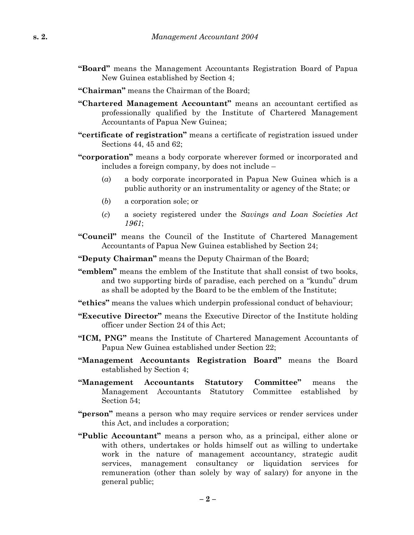- **"Board"** means the Management Accountants Registration Board of Papua New Guinea established by Section 4;
- **"Chairman"** means the Chairman of the Board;
- **"Chartered Management Accountant"** means an accountant certified as professionally qualified by the Institute of Chartered Management Accountants of Papua New Guinea;
- **"certificate of registration"** means a certificate of registration issued under Sections 44, 45 and 62;
- **"corporation"** means a body corporate wherever formed or incorporated and includes a foreign company, by does not include –
	- (*a*) a body corporate incorporated in Papua New Guinea which is a public authority or an instrumentality or agency of the State; or
	- (*b*) a corporation sole; or
	- (*c*) a society registered under the *Savings and Loan Societies Act 1961*;
- **"Council"** means the Council of the Institute of Chartered Management Accountants of Papua New Guinea established by Section 24;
- **"Deputy Chairman"** means the Deputy Chairman of the Board;
- **"emblem"** means the emblem of the Institute that shall consist of two books, and two supporting birds of paradise, each perched on a "kundu" drum as shall be adopted by the Board to be the emblem of the Institute;
- **"ethics"** means the values which underpin professional conduct of behaviour;
- **"Executive Director"** means the Executive Director of the Institute holding officer under Section 24 of this Act;
- **"ICM, PNG"** means the Institute of Chartered Management Accountants of Papua New Guinea established under Section 22;
- **"Management Accountants Registration Board"** means the Board established by Section 4;
- **"Management Accountants Statutory Committee"** means the Management Accountants Statutory Committee established by Section 54;
- **"person"** means a person who may require services or render services under this Act, and includes a corporation;
- **"Public Accountant"** means a person who, as a principal, either alone or with others, undertakes or holds himself out as willing to undertake work in the nature of management accountancy, strategic audit services, management consultancy or liquidation services for remuneration (other than solely by way of salary) for anyone in the general public;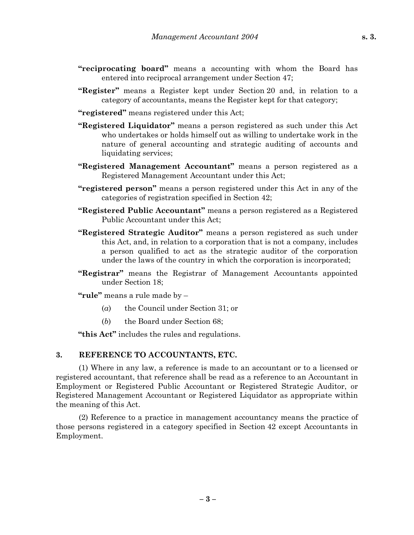- **"reciprocating board"** means a accounting with whom the Board has entered into reciprocal arrangement under Section 47;
- **"Register"** means a Register kept under Section 20 and, in relation to a category of accountants, means the Register kept for that category;
- **"registered"** means registered under this Act;
- **"Registered Liquidator"** means a person registered as such under this Act who undertakes or holds himself out as willing to undertake work in the nature of general accounting and strategic auditing of accounts and liquidating services;
- **"Registered Management Accountant"** means a person registered as a Registered Management Accountant under this Act;
- **"registered person"** means a person registered under this Act in any of the categories of registration specified in Section 42;
- **"Registered Public Accountant"** means a person registered as a Registered Public Accountant under this Act;
- **"Registered Strategic Auditor"** means a person registered as such under this Act, and, in relation to a corporation that is not a company, includes a person qualified to act as the strategic auditor of the corporation under the laws of the country in which the corporation is incorporated;
- **"Registrar"** means the Registrar of Management Accountants appointed under Section 18;

**"rule"** means a rule made by –

- (*a*) the Council under Section 31; or
- (*b*) the Board under Section 68;

**"this Act"** includes the rules and regulations.

#### **3. REFERENCE TO ACCOUNTANTS, ETC.**

(1) Where in any law, a reference is made to an accountant or to a licensed or registered accountant, that reference shall be read as a reference to an Accountant in Employment or Registered Public Accountant or Registered Strategic Auditor, or Registered Management Accountant or Registered Liquidator as appropriate within the meaning of this Act.

(2) Reference to a practice in management accountancy means the practice of those persons registered in a category specified in Section 42 except Accountants in Employment.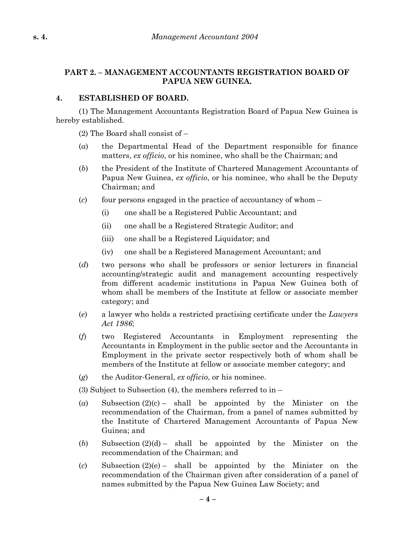## **PART 2. – MANAGEMENT ACCOUNTANTS REGISTRATION BOARD OF PAPUA NEW GUINEA.**

### **4. ESTABLISHED OF BOARD.**

(1) The Management Accountants Registration Board of Papua New Guinea is hereby established.

(2) The Board shall consist of –

- (*a*) the Departmental Head of the Department responsible for finance matters, *ex officio*, or his nominee, who shall be the Chairman; and
- (*b*) the President of the Institute of Chartered Management Accountants of Papua New Guinea, *ex officio*, or his nominee, who shall be the Deputy Chairman; and
- (*c*) four persons engaged in the practice of accountancy of whom
	- (i) one shall be a Registered Public Accountant; and
	- (ii) one shall be a Registered Strategic Auditor; and
	- (iii) one shall be a Registered Liquidator; and
	- (iv) one shall be a Registered Management Accountant; and
- (*d*) two persons who shall be professors or senior lecturers in financial accounting/strategic audit and management accounting respectively from different academic institutions in Papua New Guinea both of whom shall be members of the Institute at fellow or associate member category; and
- (*e*) a lawyer who holds a restricted practising certificate under the *Lawyers Act 1986*;
- (*f*) two Registered Accountants in Employment representing the Accountants in Employment in the public sector and the Accountants in Employment in the private sector respectively both of whom shall be members of the Institute at fellow or associate member category; and
- (*g*) the Auditor-General, *ex officio*, or his nominee.
- (3) Subject to Subsection (4), the members referred to in –
- (*a*) Subsection (2)(c) shall be appointed by the Minister on the recommendation of the Chairman, from a panel of names submitted by the Institute of Chartered Management Accountants of Papua New Guinea; and
- $(b)$  Subsection  $(2)(d)$  shall be appointed by the Minister on the recommendation of the Chairman; and
- (*c*) Subsection (2)(e) shall be appointed by the Minister on the recommendation of the Chairman given after consideration of a panel of names submitted by the Papua New Guinea Law Society; and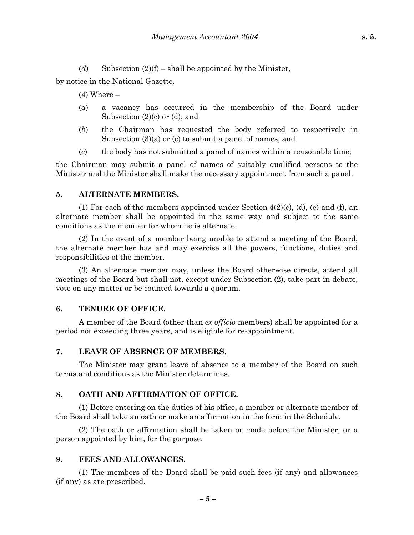(*d*) Subsection  $(2)(f)$  – shall be appointed by the Minister,

by notice in the National Gazette.

 $(4)$  Where  $-$ 

- (*a*) a vacancy has occurred in the membership of the Board under Subsection (2)(c) or (d); and
- (*b*) the Chairman has requested the body referred to respectively in Subsection (3)(a) or (c) to submit a panel of names; and
- (*c*) the body has not submitted a panel of names within a reasonable time,

the Chairman may submit a panel of names of suitably qualified persons to the Minister and the Minister shall make the necessary appointment from such a panel.

#### **5. ALTERNATE MEMBERS.**

(1) For each of the members appointed under Section 4(2)(c), (d), (e) and (f), an alternate member shall be appointed in the same way and subject to the same conditions as the member for whom he is alternate.

(2) In the event of a member being unable to attend a meeting of the Board, the alternate member has and may exercise all the powers, functions, duties and responsibilities of the member.

(3) An alternate member may, unless the Board otherwise directs, attend all meetings of the Board but shall not, except under Subsection (2), take part in debate, vote on any matter or be counted towards a quorum.

#### **6. TENURE OF OFFICE.**

A member of the Board (other than *ex officio* members) shall be appointed for a period not exceeding three years, and is eligible for re-appointment.

#### **7. LEAVE OF ABSENCE OF MEMBERS.**

The Minister may grant leave of absence to a member of the Board on such terms and conditions as the Minister determines.

#### **8. OATH AND AFFIRMATION OF OFFICE.**

(1) Before entering on the duties of his office, a member or alternate member of the Board shall take an oath or make an affirmation in the form in the Schedule.

(2) The oath or affirmation shall be taken or made before the Minister, or a person appointed by him, for the purpose.

#### **9. FEES AND ALLOWANCES.**

(1) The members of the Board shall be paid such fees (if any) and allowances (if any) as are prescribed.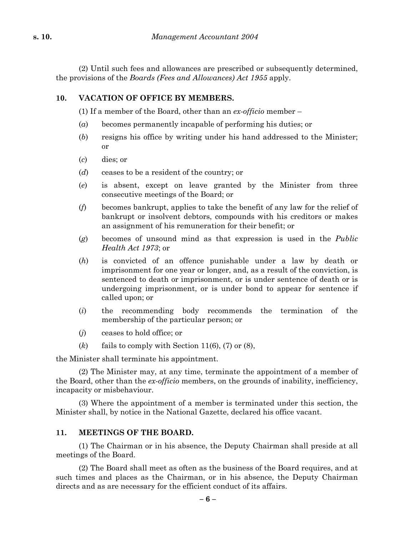(2) Until such fees and allowances are prescribed or subsequently determined, the provisions of the *Boards (Fees and Allowances) Act 1955* apply.

### **10. VACATION OF OFFICE BY MEMBERS.**

(1) If a member of the Board, other than an *ex-officio* member –

- (*a*) becomes permanently incapable of performing his duties; or
- (*b*) resigns his office by writing under his hand addressed to the Minister; or
- (*c*) dies; or
- (*d*) ceases to be a resident of the country; or
- (*e*) is absent, except on leave granted by the Minister from three consecutive meetings of the Board; or
- (*f*) becomes bankrupt, applies to take the benefit of any law for the relief of bankrupt or insolvent debtors, compounds with his creditors or makes an assignment of his remuneration for their benefit; or
- (*g*) becomes of unsound mind as that expression is used in the *Public Health Act 1973*; or
- (*h*) is convicted of an offence punishable under a law by death or imprisonment for one year or longer, and, as a result of the conviction, is sentenced to death or imprisonment, or is under sentence of death or is undergoing imprisonment, or is under bond to appear for sentence if called upon; or
- (*i*) the recommending body recommends the termination of the membership of the particular person; or
- (*j*) ceases to hold office; or
- $(k)$  fails to comply with Section 11(6), (7) or (8),

the Minister shall terminate his appointment.

(2) The Minister may, at any time, terminate the appointment of a member of the Board, other than the *ex-officio* members, on the grounds of inability, inefficiency, incapacity or misbehaviour.

(3) Where the appointment of a member is terminated under this section, the Minister shall, by notice in the National Gazette, declared his office vacant.

#### **11. MEETINGS OF THE BOARD.**

(1) The Chairman or in his absence, the Deputy Chairman shall preside at all meetings of the Board.

(2) The Board shall meet as often as the business of the Board requires, and at such times and places as the Chairman, or in his absence, the Deputy Chairman directs and as are necessary for the efficient conduct of its affairs.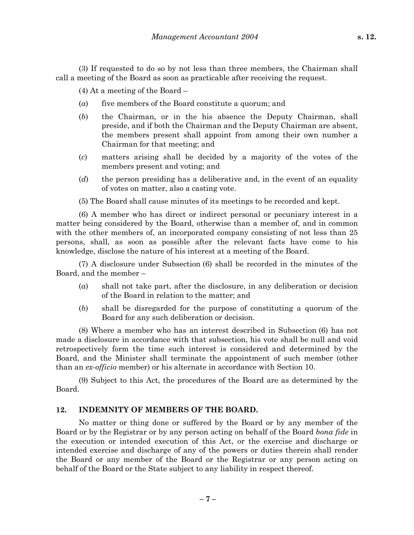(3) If requested to do so by not less than three members, the Chairman shall call a meeting of the Board as soon as practicable after receiving the request.

(4) At a meeting of the Board –

- (*a*) five members of the Board constitute a quorum; and
- (*b*) the Chairman, or in the his absence the Deputy Chairman, shall preside, and if both the Chairman and the Deputy Chairman are absent, the members present shall appoint from among their own number a Chairman for that meeting; and
- (*c*) matters arising shall be decided by a majority of the votes of the members present and voting; and
- (*d*) the person presiding has a deliberative and, in the event of an equality of votes on matter, also a casting vote.
- (5) The Board shall cause minutes of its meetings to be recorded and kept.

(6) A member who has direct or indirect personal or pecuniary interest in a matter being considered by the Board, otherwise than a member of, and in common with the other members of, an incorporated company consisting of not less than 25 persons, shall, as soon as possible after the relevant facts have come to his knowledge, disclose the nature of his interest at a meeting of the Board.

(7) A disclosure under Subsection (6) shall be recorded in the minutes of the Board, and the member –

- (*a*) shall not take part, after the disclosure, in any deliberation or decision of the Board in relation to the matter; and
- (*b*) shall be disregarded for the purpose of constituting a quorum of the Board for any such deliberation or decision.

(8) Where a member who has an interest described in Subsection (6) has not made a disclosure in accordance with that subsection, his vote shall be null and void retrospectively form the time such interest is considered and determined by the Board, and the Minister shall terminate the appointment of such member (other than an *ex-officio* member) or his alternate in accordance with Section 10.

(9) Subject to this Act, the procedures of the Board are as determined by the Board.

#### **12. INDEMNITY OF MEMBERS OF THE BOARD.**

No matter or thing done or suffered by the Board or by any member of the Board or by the Registrar or by any person acting on behalf of the Board *bona fide* in the execution or intended execution of this Act, or the exercise and discharge or intended exercise and discharge of any of the powers or duties therein shall render the Board or any member of the Board or the Registrar or any person acting on behalf of the Board or the State subject to any liability in respect thereof.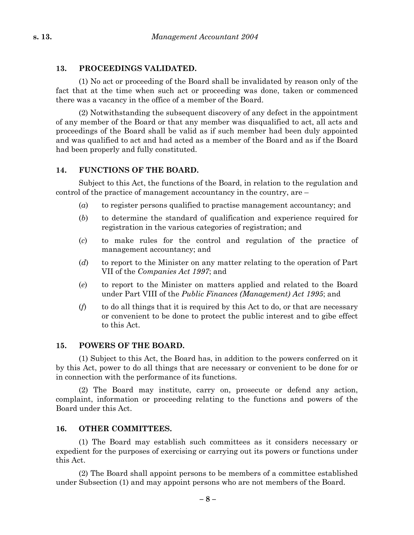#### **13. PROCEEDINGS VALIDATED.**

(1) No act or proceeding of the Board shall be invalidated by reason only of the fact that at the time when such act or proceeding was done, taken or commenced there was a vacancy in the office of a member of the Board.

(2) Notwithstanding the subsequent discovery of any defect in the appointment of any member of the Board or that any member was disqualified to act, all acts and proceedings of the Board shall be valid as if such member had been duly appointed and was qualified to act and had acted as a member of the Board and as if the Board had been properly and fully constituted.

#### **14. FUNCTIONS OF THE BOARD.**

Subject to this Act, the functions of the Board, in relation to the regulation and control of the practice of management accountancy in the country, are –

- (*a*) to register persons qualified to practise management accountancy; and
- (*b*) to determine the standard of qualification and experience required for registration in the various categories of registration; and
- (*c*) to make rules for the control and regulation of the practice of management accountancy; and
- (*d*) to report to the Minister on any matter relating to the operation of Part VII of the *Companies Act 1997*; and
- (*e*) to report to the Minister on matters applied and related to the Board under Part VIII of the *Public Finances (Management) Act 1995*; and
- (*f*) to do all things that it is required by this Act to do, or that are necessary or convenient to be done to protect the public interest and to gibe effect to this Act.

### **15. POWERS OF THE BOARD.**

(1) Subject to this Act, the Board has, in addition to the powers conferred on it by this Act, power to do all things that are necessary or convenient to be done for or in connection with the performance of its functions.

(2) The Board may institute, carry on, prosecute or defend any action, complaint, information or proceeding relating to the functions and powers of the Board under this Act.

### **16. OTHER COMMITTEES.**

(1) The Board may establish such committees as it considers necessary or expedient for the purposes of exercising or carrying out its powers or functions under this Act.

(2) The Board shall appoint persons to be members of a committee established under Subsection (1) and may appoint persons who are not members of the Board.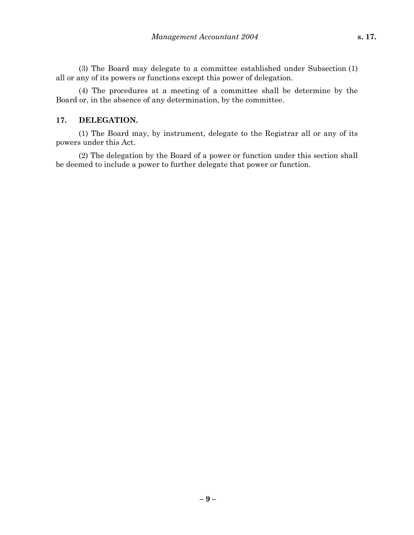(3) The Board may delegate to a committee established under Subsection (1) all or any of its powers or functions except this power of delegation.

(4) The procedures at a meeting of a committee shall be determine by the Board or, in the absence of any determination, by the committee.

#### **17. DELEGATION.**

(1) The Board may, by instrument, delegate to the Registrar all or any of its powers under this Act.

(2) The delegation by the Board of a power or function under this section shall be deemed to include a power to further delegate that power or function.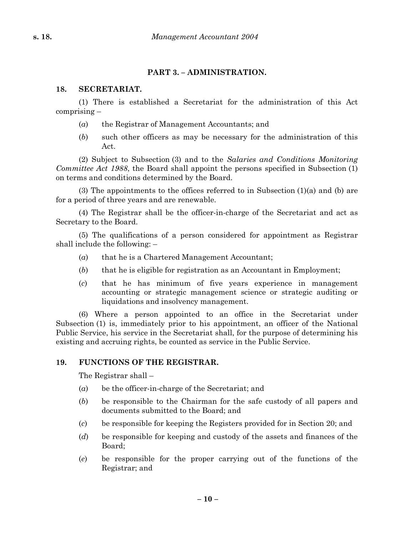### **PART 3. – ADMINISTRATION.**

#### **18. SECRETARIAT.**

(1) There is established a Secretariat for the administration of this Act comprising –

- (*a*) the Registrar of Management Accountants; and
- (*b*) such other officers as may be necessary for the administration of this Act.

(2) Subject to Subsection (3) and to the *Salaries and Conditions Monitoring Committee Act 1988*, the Board shall appoint the persons specified in Subsection (1) on terms and conditions determined by the Board.

(3) The appointments to the offices referred to in Subsection  $(1)(a)$  and  $(b)$  are for a period of three years and are renewable.

(4) The Registrar shall be the officer-in-charge of the Secretariat and act as Secretary to the Board.

(5) The qualifications of a person considered for appointment as Registrar shall include the following: –

- (*a*) that he is a Chartered Management Accountant;
- (*b*) that he is eligible for registration as an Accountant in Employment;
- (*c*) that he has minimum of five years experience in management accounting or strategic management science or strategic auditing or liquidations and insolvency management.

(6) Where a person appointed to an office in the Secretariat under Subsection (1) is, immediately prior to his appointment, an officer of the National Public Service, his service in the Secretariat shall, for the purpose of determining his existing and accruing rights, be counted as service in the Public Service.

### **19. FUNCTIONS OF THE REGISTRAR.**

The Registrar shall –

- (*a*) be the officer-in-charge of the Secretariat; and
- (*b*) be responsible to the Chairman for the safe custody of all papers and documents submitted to the Board; and
- (*c*) be responsible for keeping the Registers provided for in Section 20; and
- (*d*) be responsible for keeping and custody of the assets and finances of the Board;
- (*e*) be responsible for the proper carrying out of the functions of the Registrar; and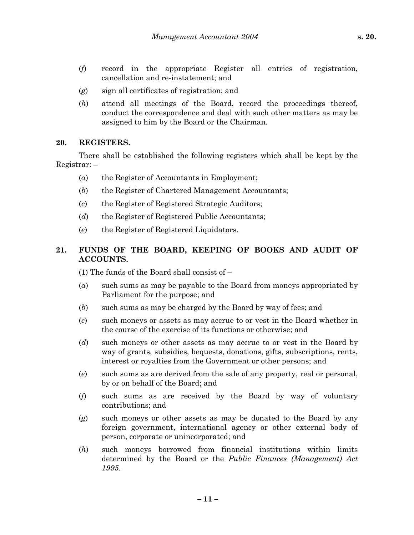- (*f*) record in the appropriate Register all entries of registration, cancellation and re-instatement; and
- (*g*) sign all certificates of registration; and
- (*h*) attend all meetings of the Board, record the proceedings thereof, conduct the correspondence and deal with such other matters as may be assigned to him by the Board or the Chairman.

#### **20. REGISTERS.**

There shall be established the following registers which shall be kept by the Registrar: –

- (*a*) the Register of Accountants in Employment;
- (*b*) the Register of Chartered Management Accountants;
- (*c*) the Register of Registered Strategic Auditors;
- (*d*) the Register of Registered Public Accountants;
- (*e*) the Register of Registered Liquidators.

### **21. FUNDS OF THE BOARD, KEEPING OF BOOKS AND AUDIT OF ACCOUNTS.**

(1) The funds of the Board shall consist of –

- (*a*) such sums as may be payable to the Board from moneys appropriated by Parliament for the purpose; and
- (*b*) such sums as may be charged by the Board by way of fees; and
- (*c*) such moneys or assets as may accrue to or vest in the Board whether in the course of the exercise of its functions or otherwise; and
- (*d*) such moneys or other assets as may accrue to or vest in the Board by way of grants, subsidies, bequests, donations, gifts, subscriptions, rents, interest or royalties from the Government or other persons; and
- (*e*) such sums as are derived from the sale of any property, real or personal, by or on behalf of the Board; and
- (*f*) such sums as are received by the Board by way of voluntary contributions; and
- (*g*) such moneys or other assets as may be donated to the Board by any foreign government, international agency or other external body of person, corporate or unincorporated; and
- (*h*) such moneys borrowed from financial institutions within limits determined by the Board or the *Public Finances (Management) Act 1995*.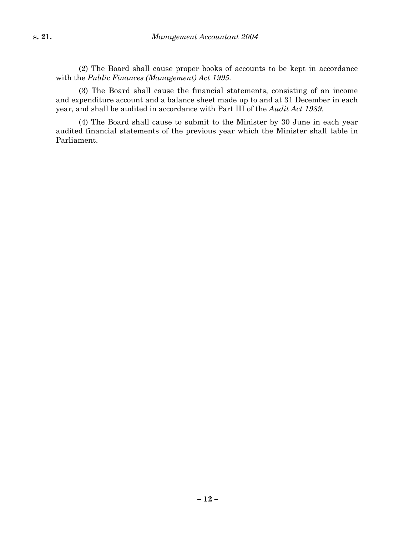(2) The Board shall cause proper books of accounts to be kept in accordance with the *Public Finances (Management) Act 1995*.

(3) The Board shall cause the financial statements, consisting of an income and expenditure account and a balance sheet made up to and at 31 December in each year, and shall be audited in accordance with Part III of the *Audit Act 1989*.

(4) The Board shall cause to submit to the Minister by 30 June in each year audited financial statements of the previous year which the Minister shall table in Parliament.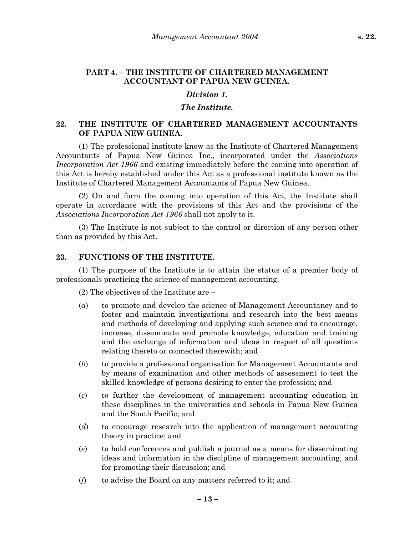#### **PART 4. – THE INSTITUTE OF CHARTERED MANAGEMENT ACCOUNTANT OF PAPUA NEW GUINEA.**

#### *Division 1.*

#### *The Institute.*

### **22. THE INSTITUTE OF CHARTERED MANAGEMENT ACCOUNTANTS OF PAPUA NEW GUINEA.**

(1) The professional institute know as the Institute of Chartered Management Accountants of Papua New Guinea Inc., incorporated under the *Associations Incorporation Act 1966* and existing immediately before the coming into operation of this Act is hereby established under this Act as a professional institute known as the Institute of Chartered Management Accountants of Papua New Guinea.

(2) On and form the coming into operation of this Act, the Institute shall operate in accordance with the provisions of this Act and the provisions of the *Associations Incorporation Act 1966* shall not apply to it.

(3) The Institute is not subject to the control or direction of any person other than as provided by this Act.

#### **23. FUNCTIONS OF THE INSTITUTE.**

(1) The purpose of the Institute is to attain the status of a premier body of professionals practicing the science of management accounting.

(2) The objectives of the Institute are –

- (*a*) to promote and develop the science of Management Accountancy and to foster and maintain investigations and research into the best means and methods of developing and applying such science and to encourage, increase, disseminate and promote knowledge, education and training and the exchange of information and ideas in respect of all questions relating thereto or connected therewith; and
- (*b*) to provide a professional organisation for Management Accountants and by means of examination and other methods of assessment to test the skilled knowledge of persons desiring to enter the profession; and
- (*c*) to further the development of management accounting education in these disciplines in the universities and schools in Papua New Guinea and the South Pacific; and
- (*d*) to encourage research into the application of management accounting theory in practice; and
- (*e*) to hold conferences and publish a journal as a means for disseminating ideas and information in the discipline of management accounting, and for promoting their discussion; and
- (*f*) to advise the Board on any matters referred to it; and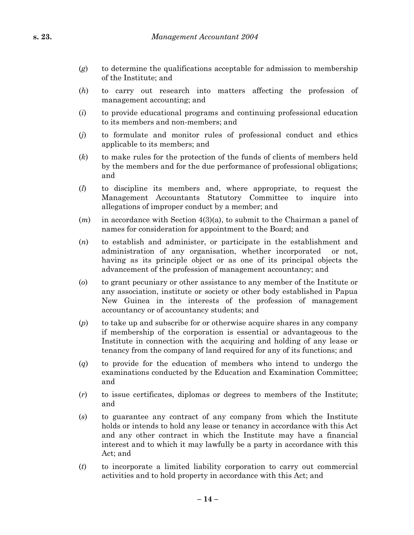- (*g*) to determine the qualifications acceptable for admission to membership of the Institute; and
- (*h*) to carry out research into matters affecting the profession of management accounting; and
- (*i*) to provide educational programs and continuing professional education to its members and non-members; and
- (*j*) to formulate and monitor rules of professional conduct and ethics applicable to its members; and
- (*k*) to make rules for the protection of the funds of clients of members held by the members and for the due performance of professional obligations; and
- (*l*) to discipline its members and, where appropriate, to request the Management Accountants Statutory Committee to inquire into allegations of improper conduct by a member; and
- (*m*) in accordance with Section 4(3)(a), to submit to the Chairman a panel of names for consideration for appointment to the Board; and
- (*n*) to establish and administer, or participate in the establishment and administration of any organisation, whether incorporated or not, having as its principle object or as one of its principal objects the advancement of the profession of management accountancy; and
- (*o*) to grant pecuniary or other assistance to any member of the Institute or any association, institute or society or other body established in Papua New Guinea in the interests of the profession of management accountancy or of accountancy students; and
- (*p*) to take up and subscribe for or otherwise acquire shares in any company if membership of the corporation is essential or advantageous to the Institute in connection with the acquiring and holding of any lease or tenancy from the company of land required for any of its functions; and
- (*q*) to provide for the education of members who intend to undergo the examinations conducted by the Education and Examination Committee; and
- (*r*) to issue certificates, diplomas or degrees to members of the Institute; and
- (*s*) to guarantee any contract of any company from which the Institute holds or intends to hold any lease or tenancy in accordance with this Act and any other contract in which the Institute may have a financial interest and to which it may lawfully be a party in accordance with this Act; and
- (*t*) to incorporate a limited liability corporation to carry out commercial activities and to hold property in accordance with this Act; and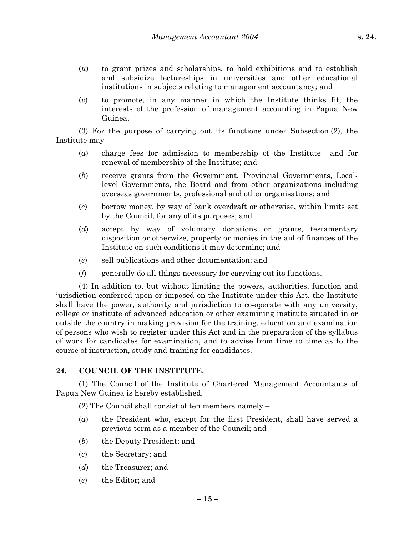- (*u*) to grant prizes and scholarships, to hold exhibitions and to establish and subsidize lectureships in universities and other educational institutions in subjects relating to management accountancy; and
- (*v*) to promote, in any manner in which the Institute thinks fit, the interests of the profession of management accounting in Papua New Guinea.

(3) For the purpose of carrying out its functions under Subsection (2), the Institute may –

- (*a*) charge fees for admission to membership of the Institute and for renewal of membership of the Institute; and
- (*b*) receive grants from the Government, Provincial Governments, Locallevel Governments, the Board and from other organizations including overseas governments, professional and other organisations; and
- (*c*) borrow money, by way of bank overdraft or otherwise, within limits set by the Council, for any of its purposes; and
- (*d*) accept by way of voluntary donations or grants, testamentary disposition or otherwise, property or monies in the aid of finances of the Institute on such conditions it may determine; and
- (*e*) sell publications and other documentation; and
- (*f*) generally do all things necessary for carrying out its functions.

(4) In addition to, but without limiting the powers, authorities, function and jurisdiction conferred upon or imposed on the Institute under this Act, the Institute shall have the power, authority and jurisdiction to co-operate with any university, college or institute of advanced education or other examining institute situated in or outside the country in making provision for the training, education and examination of persons who wish to register under this Act and in the preparation of the syllabus of work for candidates for examination, and to advise from time to time as to the course of instruction, study and training for candidates.

#### **24. COUNCIL OF THE INSTITUTE.**

(1) The Council of the Institute of Chartered Management Accountants of Papua New Guinea is hereby established.

(2) The Council shall consist of ten members namely –

- (*a*) the President who, except for the first President, shall have served a previous term as a member of the Council; and
- (*b*) the Deputy President; and
- (*c*) the Secretary; and
- (*d*) the Treasurer; and
- (*e*) the Editor; and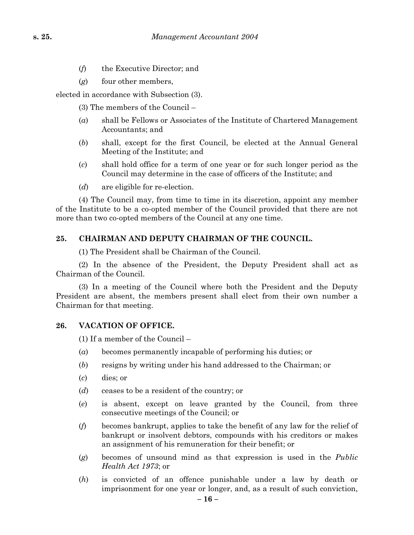- (*f*) the Executive Director; and
- (*g*) four other members,

elected in accordance with Subsection (3).

- (3) The members of the Council –
- (*a*) shall be Fellows or Associates of the Institute of Chartered Management Accountants; and
- (*b*) shall, except for the first Council, be elected at the Annual General Meeting of the Institute; and
- (*c*) shall hold office for a term of one year or for such longer period as the Council may determine in the case of officers of the Institute; and
- (*d*) are eligible for re-election.

(4) The Council may, from time to time in its discretion, appoint any member of the Institute to be a co-opted member of the Council provided that there are not more than two co-opted members of the Council at any one time.

#### **25. CHAIRMAN AND DEPUTY CHAIRMAN OF THE COUNCIL.**

(1) The President shall be Chairman of the Council.

(2) In the absence of the President, the Deputy President shall act as Chairman of the Council.

(3) In a meeting of the Council where both the President and the Deputy President are absent, the members present shall elect from their own number a Chairman for that meeting.

#### **26. VACATION OF OFFICE.**

(1) If a member of the Council –

- (*a*) becomes permanently incapable of performing his duties; or
- (*b*) resigns by writing under his hand addressed to the Chairman; or
- (*c*) dies; or
- (*d*) ceases to be a resident of the country; or
- (*e*) is absent, except on leave granted by the Council, from three consecutive meetings of the Council; or
- (*f*) becomes bankrupt, applies to take the benefit of any law for the relief of bankrupt or insolvent debtors, compounds with his creditors or makes an assignment of his remuneration for their benefit; or
- (*g*) becomes of unsound mind as that expression is used in the *Public Health Act 1973*; or
- (*h*) is convicted of an offence punishable under a law by death or imprisonment for one year or longer, and, as a result of such conviction,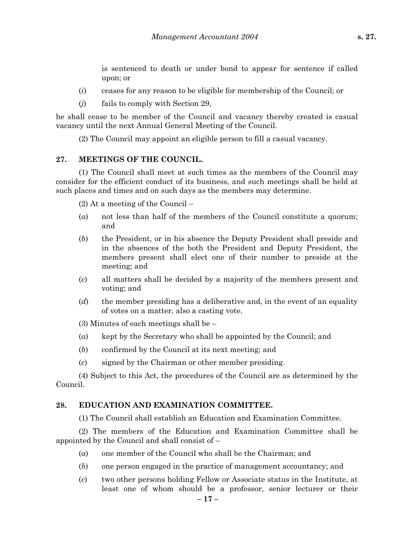is sentenced to death or under bond to appear for sentence if called upon; or

- (*i*) ceases for any reason to be eligible for membership of the Council; or
- (*j*) fails to comply with Section 29,

he shall cease to be member of the Council and vacancy thereby created is casual vacancy until the next Annual General Meeting of the Council.

(2) The Council may appoint an eligible person to fill a casual vacancy.

### **27. MEETINGS OF THE COUNCIL.**

(1) The Council shall meet at such times as the members of the Council may consider for the efficient conduct of its business, and such meetings shall be held at such places and times and on such days as the members may determine.

(2) At a meeting of the Council –

- (*a*) not less than half of the members of the Council constitute a quorum; and
- (*b*) the President, or in his absence the Deputy President shall preside and in the absences of the both the President and Deputy President, the members present shall elect one of their number to preside at the meeting; and
- (*c*) all matters shall be decided by a majority of the members present and voting; and
- (*d*) the member presiding has a deliberative and, in the event of an equality of votes on a matter, also a casting vote.

(3) Minutes of each meetings shall be –

- (*a*) kept by the Secretary who shall be appointed by the Council; and
- (*b*) confirmed by the Council at its next meeting; and
- (*c*) signed by the Chairman or other member presiding.

(4) Subject to this Act, the procedures of the Council are as determined by the Council.

### **28. EDUCATION AND EXAMINATION COMMITTEE.**

(1) The Council shall establish an Education and Examination Committee.

(2) The members of the Education and Examination Committee shall be appointed by the Council and shall consist of –

- (*a*) one member of the Council who shall be the Chairman; and
- (*b*) one person engaged in the practice of management accountancy; and

**– 17 –**

(*c*) two other persons holding Fellow or Associate status in the Institute, at least one of whom should be a professor, senior lecturer or their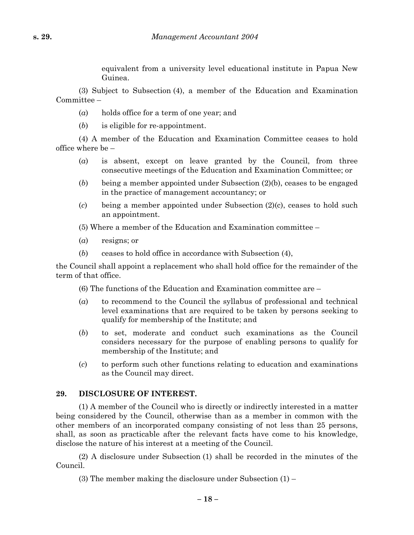equivalent from a university level educational institute in Papua New Guinea.

(3) Subject to Subsection (4), a member of the Education and Examination Committee –

- (*a*) holds office for a term of one year; and
- (*b*) is eligible for re-appointment.

(4) A member of the Education and Examination Committee ceases to hold office where be –

- (*a*) is absent, except on leave granted by the Council, from three consecutive meetings of the Education and Examination Committee; or
- (*b*) being a member appointed under Subsection (2)(b), ceases to be engaged in the practice of management accountancy; or
- (*c*) being a member appointed under Subsection (2)(c), ceases to hold such an appointment.

(5) Where a member of the Education and Examination committee –

- (*a*) resigns; or
- (*b*) ceases to hold office in accordance with Subsection (4),

the Council shall appoint a replacement who shall hold office for the remainder of the term of that office.

(6) The functions of the Education and Examination committee are –

- (*a*) to recommend to the Council the syllabus of professional and technical level examinations that are required to be taken by persons seeking to qualify for membership of the Institute; and
- (*b*) to set, moderate and conduct such examinations as the Council considers necessary for the purpose of enabling persons to qualify for membership of the Institute; and
- (*c*) to perform such other functions relating to education and examinations as the Council may direct.

### **29. DISCLOSURE OF INTEREST.**

(1) A member of the Council who is directly or indirectly interested in a matter being considered by the Council, otherwise than as a member in common with the other members of an incorporated company consisting of not less than 25 persons, shall, as soon as practicable after the relevant facts have come to his knowledge, disclose the nature of his interest at a meeting of the Council.

(2) A disclosure under Subsection (1) shall be recorded in the minutes of the Council.

(3) The member making the disclosure under Subsection (1) –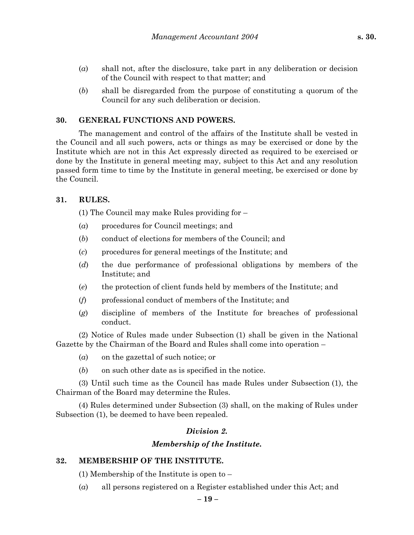- (*a*) shall not, after the disclosure, take part in any deliberation or decision of the Council with respect to that matter; and
- (*b*) shall be disregarded from the purpose of constituting a quorum of the Council for any such deliberation or decision.

#### **30. GENERAL FUNCTIONS AND POWERS.**

The management and control of the affairs of the Institute shall be vested in the Council and all such powers, acts or things as may be exercised or done by the Institute which are not in this Act expressly directed as required to be exercised or done by the Institute in general meeting may, subject to this Act and any resolution passed form time to time by the Institute in general meeting, be exercised or done by the Council.

#### **31. RULES.**

(1) The Council may make Rules providing for –

- (*a*) procedures for Council meetings; and
- (*b*) conduct of elections for members of the Council; and
- (*c*) procedures for general meetings of the Institute; and
- (*d*) the due performance of professional obligations by members of the Institute; and
- (*e*) the protection of client funds held by members of the Institute; and
- (*f*) professional conduct of members of the Institute; and
- (*g*) discipline of members of the Institute for breaches of professional conduct.

(2) Notice of Rules made under Subsection (1) shall be given in the National Gazette by the Chairman of the Board and Rules shall come into operation –

- (*a*) on the gazettal of such notice; or
- (*b*) on such other date as is specified in the notice.

(3) Until such time as the Council has made Rules under Subsection (1), the Chairman of the Board may determine the Rules.

(4) Rules determined under Subsection (3) shall, on the making of Rules under Subsection (1), be deemed to have been repealed.

## *Division 2.*

### *Membership of the Institute.*

### **32. MEMBERSHIP OF THE INSTITUTE.**

(1) Membership of the Institute is open to –

(*a*) all persons registered on a Register established under this Act; and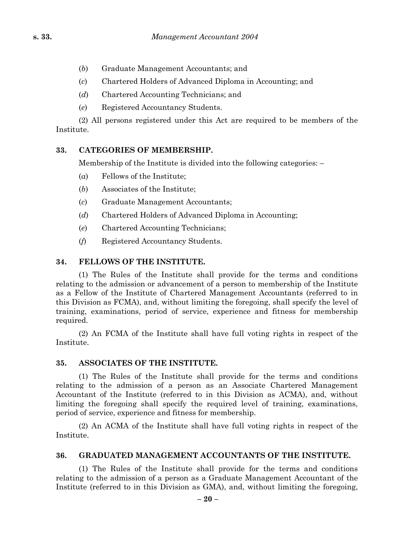- (*b*) Graduate Management Accountants; and
- (*c*) Chartered Holders of Advanced Diploma in Accounting; and
- (*d*) Chartered Accounting Technicians; and
- (*e*) Registered Accountancy Students.

(2) All persons registered under this Act are required to be members of the Institute.

### **33. CATEGORIES OF MEMBERSHIP.**

Membership of the Institute is divided into the following categories: –

- (*a*) Fellows of the Institute;
- (*b*) Associates of the Institute;
- (*c*) Graduate Management Accountants;
- (*d*) Chartered Holders of Advanced Diploma in Accounting;
- (*e*) Chartered Accounting Technicians;
- (*f*) Registered Accountancy Students.

### **34. FELLOWS OF THE INSTITUTE.**

(1) The Rules of the Institute shall provide for the terms and conditions relating to the admission or advancement of a person to membership of the Institute as a Fellow of the Institute of Chartered Management Accountants (referred to in this Division as FCMA), and, without limiting the foregoing, shall specify the level of training, examinations, period of service, experience and fitness for membership required.

(2) An FCMA of the Institute shall have full voting rights in respect of the Institute.

### **35. ASSOCIATES OF THE INSTITUTE.**

(1) The Rules of the Institute shall provide for the terms and conditions relating to the admission of a person as an Associate Chartered Management Accountant of the Institute (referred to in this Division as ACMA), and, without limiting the foregoing shall specify the required level of training, examinations, period of service, experience and fitness for membership.

(2) An ACMA of the Institute shall have full voting rights in respect of the Institute.

## **36. GRADUATED MANAGEMENT ACCOUNTANTS OF THE INSTITUTE.**

(1) The Rules of the Institute shall provide for the terms and conditions relating to the admission of a person as a Graduate Management Accountant of the Institute (referred to in this Division as GMA), and, without limiting the foregoing,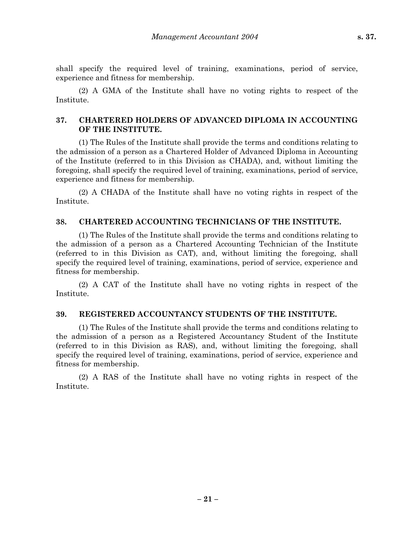shall specify the required level of training, examinations, period of service, experience and fitness for membership.

(2) A GMA of the Institute shall have no voting rights to respect of the Institute.

### **37. CHARTERED HOLDERS OF ADVANCED DIPLOMA IN ACCOUNTING OF THE INSTITUTE.**

(1) The Rules of the Institute shall provide the terms and conditions relating to the admission of a person as a Chartered Holder of Advanced Diploma in Accounting of the Institute (referred to in this Division as CHADA), and, without limiting the foregoing, shall specify the required level of training, examinations, period of service, experience and fitness for membership.

(2) A CHADA of the Institute shall have no voting rights in respect of the Institute.

### **38. CHARTERED ACCOUNTING TECHNICIANS OF THE INSTITUTE.**

(1) The Rules of the Institute shall provide the terms and conditions relating to the admission of a person as a Chartered Accounting Technician of the Institute (referred to in this Division as CAT), and, without limiting the foregoing, shall specify the required level of training, examinations, period of service, experience and fitness for membership.

(2) A CAT of the Institute shall have no voting rights in respect of the Institute.

### **39. REGISTERED ACCOUNTANCY STUDENTS OF THE INSTITUTE.**

(1) The Rules of the Institute shall provide the terms and conditions relating to the admission of a person as a Registered Accountancy Student of the Institute (referred to in this Division as RAS), and, without limiting the foregoing, shall specify the required level of training, examinations, period of service, experience and fitness for membership.

(2) A RAS of the Institute shall have no voting rights in respect of the Institute.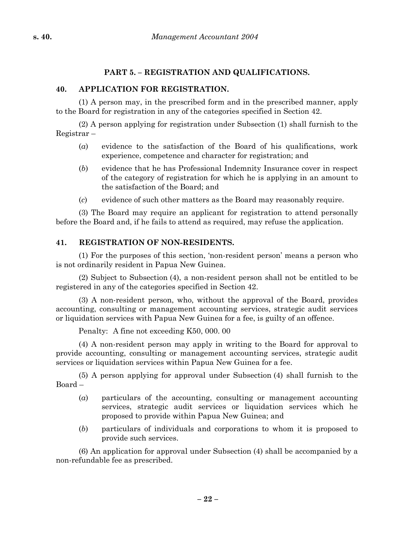### **PART 5. – REGISTRATION AND QUALIFICATIONS.**

### **40. APPLICATION FOR REGISTRATION.**

(1) A person may, in the prescribed form and in the prescribed manner, apply to the Board for registration in any of the categories specified in Section 42.

(2) A person applying for registration under Subsection (1) shall furnish to the Registrar –

- (*a*) evidence to the satisfaction of the Board of his qualifications, work experience, competence and character for registration; and
- (*b*) evidence that he has Professional Indemnity Insurance cover in respect of the category of registration for which he is applying in an amount to the satisfaction of the Board; and
- (*c*) evidence of such other matters as the Board may reasonably require.

(3) The Board may require an applicant for registration to attend personally before the Board and, if he fails to attend as required, may refuse the application.

### **41. REGISTRATION OF NON-RESIDENTS.**

(1) For the purposes of this section, 'non-resident person' means a person who is not ordinarily resident in Papua New Guinea.

(2) Subject to Subsection (4), a non-resident person shall not be entitled to be registered in any of the categories specified in Section 42.

(3) A non-resident person, who, without the approval of the Board, provides accounting, consulting or management accounting services, strategic audit services or liquidation services with Papua New Guinea for a fee, is guilty of an offence.

Penalty: A fine not exceeding K50, 000. 00

(4) A non-resident person may apply in writing to the Board for approval to provide accounting, consulting or management accounting services, strategic audit services or liquidation services within Papua New Guinea for a fee.

(5) A person applying for approval under Subsection (4) shall furnish to the Board –

- (*a*) particulars of the accounting, consulting or management accounting services, strategic audit services or liquidation services which he proposed to provide within Papua New Guinea; and
- (*b*) particulars of individuals and corporations to whom it is proposed to provide such services.

(6) An application for approval under Subsection (4) shall be accompanied by a non-refundable fee as prescribed.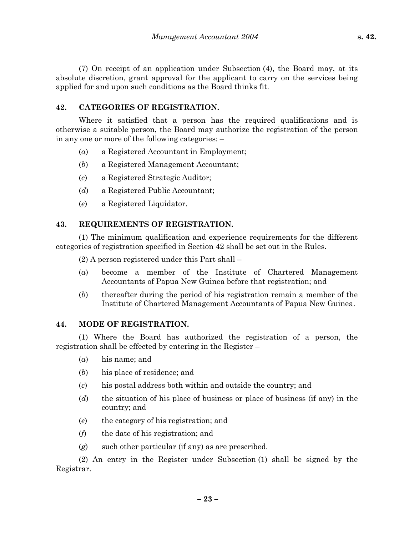(7) On receipt of an application under Subsection (4), the Board may, at its absolute discretion, grant approval for the applicant to carry on the services being applied for and upon such conditions as the Board thinks fit.

### **42. CATEGORIES OF REGISTRATION.**

Where it satisfied that a person has the required qualifications and is otherwise a suitable person, the Board may authorize the registration of the person in any one or more of the following categories: –

- (*a*) a Registered Accountant in Employment;
- (*b*) a Registered Management Accountant;
- (*c*) a Registered Strategic Auditor;
- (*d*) a Registered Public Accountant;
- (*e*) a Registered Liquidator.

### **43. REQUIREMENTS OF REGISTRATION.**

(1) The minimum qualification and experience requirements for the different categories of registration specified in Section 42 shall be set out in the Rules.

(2) A person registered under this Part shall –

- (*a*) become a member of the Institute of Chartered Management Accountants of Papua New Guinea before that registration; and
- (*b*) thereafter during the period of his registration remain a member of the Institute of Chartered Management Accountants of Papua New Guinea.

### **44. MODE OF REGISTRATION.**

(1) Where the Board has authorized the registration of a person, the registration shall be effected by entering in the Register –

- (*a*) his name; and
- (*b*) his place of residence; and
- (*c*) his postal address both within and outside the country; and
- (*d*) the situation of his place of business or place of business (if any) in the country; and
- (*e*) the category of his registration; and
- (*f*) the date of his registration; and
- (*g*) such other particular (if any) as are prescribed.

(2) An entry in the Register under Subsection (1) shall be signed by the Registrar.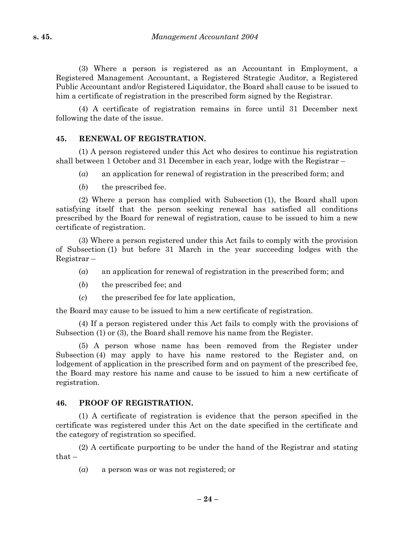(3) Where a person is registered as an Accountant in Employment, a Registered Management Accountant, a Registered Strategic Auditor, a Registered Public Accountant and/or Registered Liquidator, the Board shall cause to be issued to him a certificate of registration in the prescribed form signed by the Registrar.

(4) A certificate of registration remains in force until 31 December next following the date of the issue.

#### **45. RENEWAL OF REGISTRATION.**

(1) A person registered under this Act who desires to continue his registration shall between 1 October and 31 December in each year, lodge with the Registrar –

- (*a*) an application for renewal of registration in the prescribed form; and
- (*b*) the prescribed fee.

(2) Where a person has complied with Subsection (1), the Board shall upon satisfying itself that the person seeking renewal has satisfied all conditions prescribed by the Board for renewal of registration, cause to be issued to him a new certificate of registration.

(3) Where a person registered under this Act fails to comply with the provision of Subsection (1) but before 31 March in the year succeeding lodges with the Registrar –

- (*a*) an application for renewal of registration in the prescribed form; and
- (*b*) the prescribed fee; and
- (*c*) the prescribed fee for late application,

the Board may cause to be issued to him a new certificate of registration.

(4) If a person registered under this Act fails to comply with the provisions of Subsection (1) or (3), the Board shall remove his name from the Register.

(5) A person whose name has been removed from the Register under Subsection (4) may apply to have his name restored to the Register and, on lodgement of application in the prescribed form and on payment of the prescribed fee, the Board may restore his name and cause to be issued to him a new certificate of registration.

### **46. PROOF OF REGISTRATION.**

(1) A certificate of registration is evidence that the person specified in the certificate was registered under this Act on the date specified in the certificate and the category of registration so specified.

(2) A certificate purporting to be under the hand of the Registrar and stating  $that -$ 

(*a*) a person was or was not registered; or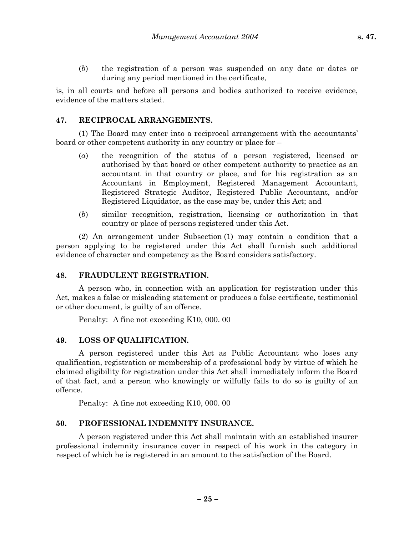(*b*) the registration of a person was suspended on any date or dates or during any period mentioned in the certificate,

is, in all courts and before all persons and bodies authorized to receive evidence, evidence of the matters stated.

#### **47. RECIPROCAL ARRANGEMENTS.**

(1) The Board may enter into a reciprocal arrangement with the accountants' board or other competent authority in any country or place for –

- (*a*) the recognition of the status of a person registered, licensed or authorised by that board or other competent authority to practice as an accountant in that country or place, and for his registration as an Accountant in Employment, Registered Management Accountant, Registered Strategic Auditor, Registered Public Accountant, and/or Registered Liquidator, as the case may be, under this Act; and
- (*b*) similar recognition, registration, licensing or authorization in that country or place of persons registered under this Act.

(2) An arrangement under Subsection (1) may contain a condition that a person applying to be registered under this Act shall furnish such additional evidence of character and competency as the Board considers satisfactory.

#### **48. FRAUDULENT REGISTRATION.**

A person who, in connection with an application for registration under this Act, makes a false or misleading statement or produces a false certificate, testimonial or other document, is guilty of an offence.

Penalty: A fine not exceeding K10, 000. 00

### **49. LOSS OF QUALIFICATION.**

A person registered under this Act as Public Accountant who loses any qualification, registration or membership of a professional body by virtue of which he claimed eligibility for registration under this Act shall immediately inform the Board of that fact, and a person who knowingly or wilfully fails to do so is guilty of an offence.

Penalty: A fine not exceeding K10, 000. 00

### **50. PROFESSIONAL INDEMNITY INSURANCE.**

A person registered under this Act shall maintain with an established insurer professional indemnity insurance cover in respect of his work in the category in respect of which he is registered in an amount to the satisfaction of the Board.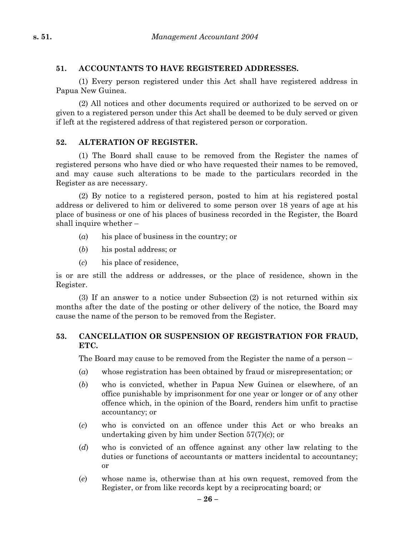### **51. ACCOUNTANTS TO HAVE REGISTERED ADDRESSES.**

(1) Every person registered under this Act shall have registered address in Papua New Guinea.

(2) All notices and other documents required or authorized to be served on or given to a registered person under this Act shall be deemed to be duly served or given if left at the registered address of that registered person or corporation.

### **52. ALTERATION OF REGISTER.**

(1) The Board shall cause to be removed from the Register the names of registered persons who have died or who have requested their names to be removed, and may cause such alterations to be made to the particulars recorded in the Register as are necessary.

(2) By notice to a registered person, posted to him at his registered postal address or delivered to him or delivered to some person over 18 years of age at his place of business or one of his places of business recorded in the Register, the Board shall inquire whether –

- (*a*) his place of business in the country; or
- (*b*) his postal address; or
- (*c*) his place of residence,

is or are still the address or addresses, or the place of residence, shown in the Register.

(3) If an answer to a notice under Subsection (2) is not returned within six months after the date of the posting or other delivery of the notice, the Board may cause the name of the person to be removed from the Register.

### **53. CANCELLATION OR SUSPENSION OF REGISTRATION FOR FRAUD, ETC.**

The Board may cause to be removed from the Register the name of a person –

- (*a*) whose registration has been obtained by fraud or misrepresentation; or
- (*b*) who is convicted, whether in Papua New Guinea or elsewhere, of an office punishable by imprisonment for one year or longer or of any other offence which, in the opinion of the Board, renders him unfit to practise accountancy; or
- (*c*) who is convicted on an offence under this Act or who breaks an undertaking given by him under Section 57(7)(c); or
- (*d*) who is convicted of an offence against any other law relating to the duties or functions of accountants or matters incidental to accountancy; or
- (*e*) whose name is, otherwise than at his own request, removed from the Register, or from like records kept by a reciprocating board; or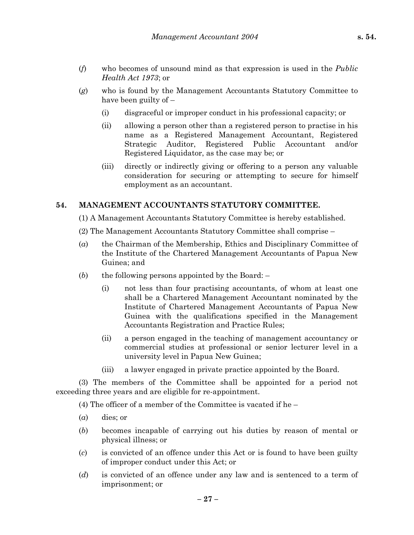- (*f*) who becomes of unsound mind as that expression is used in the *Public Health Act 1973*; or
- (*g*) who is found by the Management Accountants Statutory Committee to have been guilty of –
	- (i) disgraceful or improper conduct in his professional capacity; or
	- (ii) allowing a person other than a registered person to practise in his name as a Registered Management Accountant, Registered Strategic Auditor, Registered Public Accountant and/or Registered Liquidator, as the case may be; or
	- (iii) directly or indirectly giving or offering to a person any valuable consideration for securing or attempting to secure for himself employment as an accountant.

### **54. MANAGEMENT ACCOUNTANTS STATUTORY COMMITTEE.**

- (1) A Management Accountants Statutory Committee is hereby established.
- (2) The Management Accountants Statutory Committee shall comprise –
- (*a*) the Chairman of the Membership, Ethics and Disciplinary Committee of the Institute of the Chartered Management Accountants of Papua New Guinea; and
- (*b*) the following persons appointed by the Board:
	- (i) not less than four practising accountants, of whom at least one shall be a Chartered Management Accountant nominated by the Institute of Chartered Management Accountants of Papua New Guinea with the qualifications specified in the Management Accountants Registration and Practice Rules;
	- (ii) a person engaged in the teaching of management accountancy or commercial studies at professional or senior lecturer level in a university level in Papua New Guinea;
	- (iii) a lawyer engaged in private practice appointed by the Board.

(3) The members of the Committee shall be appointed for a period not exceeding three years and are eligible for re-appointment.

(4) The officer of a member of the Committee is vacated if he –

- (*a*) dies; or
- (*b*) becomes incapable of carrying out his duties by reason of mental or physical illness; or
- (*c*) is convicted of an offence under this Act or is found to have been guilty of improper conduct under this Act; or
- (*d*) is convicted of an offence under any law and is sentenced to a term of imprisonment; or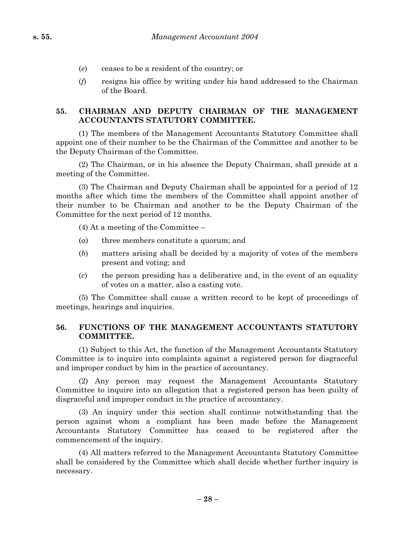- (*e*) ceases to be a resident of the country; or
- (*f*) resigns his office by writing under his hand addressed to the Chairman of the Board.

### **55. CHAIRMAN AND DEPUTY CHAIRMAN OF THE MANAGEMENT ACCOUNTANTS STATUTORY COMMITTEE.**

(1) The members of the Management Accountants Statutory Committee shall appoint one of their number to be the Chairman of the Committee and another to be the Deputy Chairman of the Committee.

(2) The Chairman, or in his absence the Deputy Chairman, shall preside at a meeting of the Committee.

(3) The Chairman and Deputy Chairman shall be appointed for a period of 12 months after which time the members of the Committee shall appoint another of their number to be Chairman and another to be the Deputy Chairman of the Committee for the next period of 12 months.

(4) At a meeting of the Committee –

- (*a*) three members constitute a quorum; and
- (*b*) matters arising shall be decided by a majority of votes of the members present and voting; and
- (*c*) the person presiding has a deliberative and, in the event of an equality of votes on a matter, also a casting vote.

(5) The Committee shall cause a written record to be kept of proceedings of meetings, hearings and inquiries.

### **56. FUNCTIONS OF THE MANAGEMENT ACCOUNTANTS STATUTORY COMMITTEE.**

(1) Subject to this Act, the function of the Management Accountants Statutory Committee is to inquire into complaints against a registered person for disgraceful and improper conduct by him in the practice of accountancy.

(2) Any person may request the Management Accountants Statutory Committee to inquire into an allegation that a registered person has been guilty of disgraceful and improper conduct in the practice of accountancy.

(3) An inquiry under this section shall continue notwithstanding that the person against whom a compliant has been made before the Management Accountants Statutory Committee has ceased to be registered after the commencement of the inquiry.

(4) All matters referred to the Management Accountants Statutory Committee shall be considered by the Committee which shall decide whether further inquiry is necessary.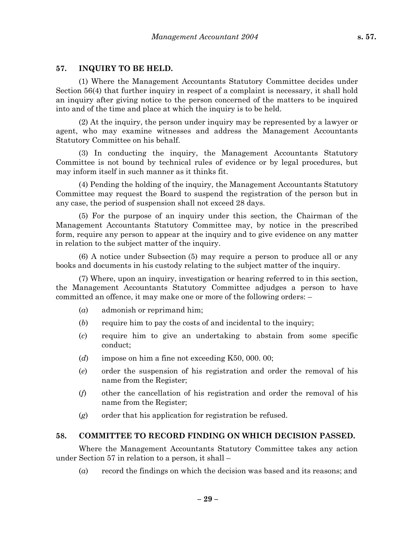#### **57. INQUIRY TO BE HELD.**

(1) Where the Management Accountants Statutory Committee decides under Section 56(4) that further inquiry in respect of a complaint is necessary, it shall hold an inquiry after giving notice to the person concerned of the matters to be inquired into and of the time and place at which the inquiry is to be held.

(2) At the inquiry, the person under inquiry may be represented by a lawyer or agent, who may examine witnesses and address the Management Accountants Statutory Committee on his behalf.

(3) In conducting the inquiry, the Management Accountants Statutory Committee is not bound by technical rules of evidence or by legal procedures, but may inform itself in such manner as it thinks fit.

(4) Pending the holding of the inquiry, the Management Accountants Statutory Committee may request the Board to suspend the registration of the person but in any case, the period of suspension shall not exceed 28 days.

(5) For the purpose of an inquiry under this section, the Chairman of the Management Accountants Statutory Committee may, by notice in the prescribed form, require any person to appear at the inquiry and to give evidence on any matter in relation to the subject matter of the inquiry.

(6) A notice under Subsection (5) may require a person to produce all or any books and documents in his custody relating to the subject matter of the inquiry.

(7) Where, upon an inquiry, investigation or hearing referred to in this section, the Management Accountants Statutory Committee adjudges a person to have committed an offence, it may make one or more of the following orders: –

- (*a*) admonish or reprimand him;
- (*b*) require him to pay the costs of and incidental to the inquiry;
- (*c*) require him to give an undertaking to abstain from some specific conduct;
- (*d*) impose on him a fine not exceeding K50, 000. 00;
- (*e*) order the suspension of his registration and order the removal of his name from the Register;
- (*f*) other the cancellation of his registration and order the removal of his name from the Register;
- (*g*) order that his application for registration be refused.

#### **58. COMMITTEE TO RECORD FINDING ON WHICH DECISION PASSED.**

Where the Management Accountants Statutory Committee takes any action under Section 57 in relation to a person, it shall –

(*a*) record the findings on which the decision was based and its reasons; and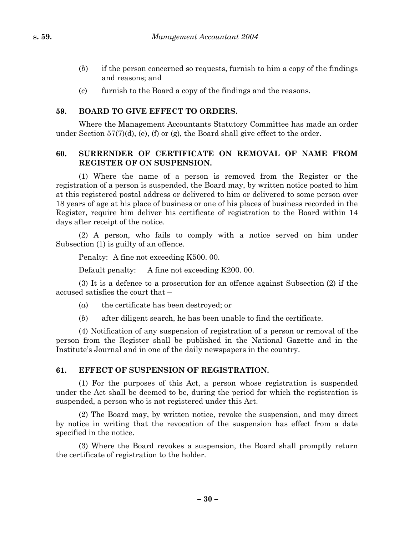- (*b*) if the person concerned so requests, furnish to him a copy of the findings and reasons; and
- (*c*) furnish to the Board a copy of the findings and the reasons.

### **59. BOARD TO GIVE EFFECT TO ORDERS.**

Where the Management Accountants Statutory Committee has made an order under Section 57(7)(d), (e), (f) or (g), the Board shall give effect to the order.

### **60. SURRENDER OF CERTIFICATE ON REMOVAL OF NAME FROM REGISTER OF ON SUSPENSION.**

(1) Where the name of a person is removed from the Register or the registration of a person is suspended, the Board may, by written notice posted to him at this registered postal address or delivered to him or delivered to some person over 18 years of age at his place of business or one of his places of business recorded in the Register, require him deliver his certificate of registration to the Board within 14 days after receipt of the notice.

(2) A person, who fails to comply with a notice served on him under Subsection (1) is guilty of an offence.

Penalty: A fine not exceeding K500. 00.

Default penalty: A fine not exceeding K200. 00.

(3) It is a defence to a prosecution for an offence against Subsection (2) if the accused satisfies the court that –

- (*a*) the certificate has been destroyed; or
- (*b*) after diligent search, he has been unable to find the certificate.

(4) Notification of any suspension of registration of a person or removal of the person from the Register shall be published in the National Gazette and in the Institute's Journal and in one of the daily newspapers in the country.

### **61. EFFECT OF SUSPENSION OF REGISTRATION.**

(1) For the purposes of this Act, a person whose registration is suspended under the Act shall be deemed to be, during the period for which the registration is suspended, a person who is not registered under this Act.

(2) The Board may, by written notice, revoke the suspension, and may direct by notice in writing that the revocation of the suspension has effect from a date specified in the notice.

(3) Where the Board revokes a suspension, the Board shall promptly return the certificate of registration to the holder.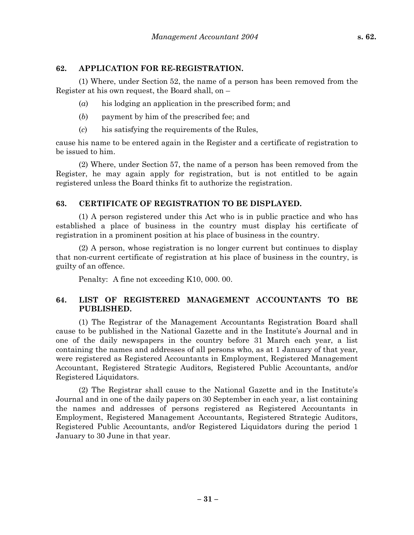#### **62. APPLICATION FOR RE-REGISTRATION.**

(1) Where, under Section 52, the name of a person has been removed from the Register at his own request, the Board shall, on –

- (*a*) his lodging an application in the prescribed form; and
- (*b*) payment by him of the prescribed fee; and
- (*c*) his satisfying the requirements of the Rules,

cause his name to be entered again in the Register and a certificate of registration to be issued to him.

(2) Where, under Section 57, the name of a person has been removed from the Register, he may again apply for registration, but is not entitled to be again registered unless the Board thinks fit to authorize the registration.

#### **63. CERTIFICATE OF REGISTRATION TO BE DISPLAYED.**

(1) A person registered under this Act who is in public practice and who has established a place of business in the country must display his certificate of registration in a prominent position at his place of business in the country.

(2) A person, whose registration is no longer current but continues to display that non-current certificate of registration at his place of business in the country, is guilty of an offence.

Penalty: A fine not exceeding K10, 000. 00.

### **64. LIST OF REGISTERED MANAGEMENT ACCOUNTANTS TO BE PUBLISHED.**

(1) The Registrar of the Management Accountants Registration Board shall cause to be published in the National Gazette and in the Institute's Journal and in one of the daily newspapers in the country before 31 March each year, a list containing the names and addresses of all persons who, as at 1 January of that year, were registered as Registered Accountants in Employment, Registered Management Accountant, Registered Strategic Auditors, Registered Public Accountants, and/or Registered Liquidators.

(2) The Registrar shall cause to the National Gazette and in the Institute's Journal and in one of the daily papers on 30 September in each year, a list containing the names and addresses of persons registered as Registered Accountants in Employment, Registered Management Accountants, Registered Strategic Auditors, Registered Public Accountants, and/or Registered Liquidators during the period 1 January to 30 June in that year.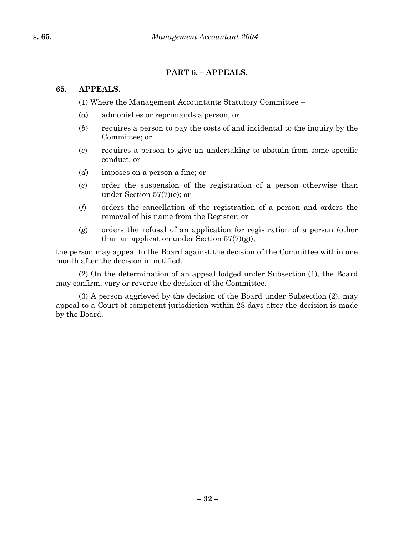## **PART 6. – APPEALS.**

### **65. APPEALS.**

(1) Where the Management Accountants Statutory Committee –

- (*a*) admonishes or reprimands a person; or
- (*b*) requires a person to pay the costs of and incidental to the inquiry by the Committee; or
- (*c*) requires a person to give an undertaking to abstain from some specific conduct; or
- (*d*) imposes on a person a fine; or
- (*e*) order the suspension of the registration of a person otherwise than under Section 57(7)(e); or
- (*f*) orders the cancellation of the registration of a person and orders the removal of his name from the Register; or
- (*g*) orders the refusal of an application for registration of a person (other than an application under Section  $57(7)(g)$ ),

the person may appeal to the Board against the decision of the Committee within one month after the decision in notified.

(2) On the determination of an appeal lodged under Subsection (1), the Board may confirm, vary or reverse the decision of the Committee.

(3) A person aggrieved by the decision of the Board under Subsection (2), may appeal to a Court of competent jurisdiction within 28 days after the decision is made by the Board.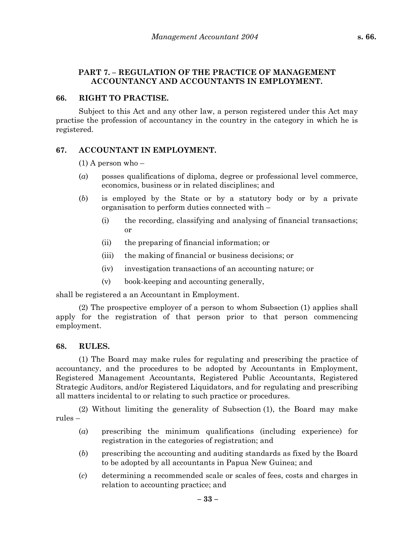### **PART 7. – REGULATION OF THE PRACTICE OF MANAGEMENT ACCOUNTANCY AND ACCOUNTANTS IN EMPLOYMENT.**

#### **66. RIGHT TO PRACTISE.**

Subject to this Act and any other law, a person registered under this Act may practise the profession of accountancy in the country in the category in which he is registered.

### **67. ACCOUNTANT IN EMPLOYMENT.**

 $(1)$  A person who –

- (*a*) posses qualifications of diploma, degree or professional level commerce, economics, business or in related disciplines; and
- (*b*) is employed by the State or by a statutory body or by a private organisation to perform duties connected with –
	- (i) the recording, classifying and analysing of financial transactions; or
	- (ii) the preparing of financial information; or
	- (iii) the making of financial or business decisions; or
	- (iv) investigation transactions of an accounting nature; or
	- (v) book-keeping and accounting generally,

shall be registered a an Accountant in Employment.

(2) The prospective employer of a person to whom Subsection (1) applies shall apply for the registration of that person prior to that person commencing employment.

#### **68. RULES.**

(1) The Board may make rules for regulating and prescribing the practice of accountancy, and the procedures to be adopted by Accountants in Employment, Registered Management Accountants, Registered Public Accountants, Registered Strategic Auditors, and/or Registered Liquidators, and for regulating and prescribing all matters incidental to or relating to such practice or procedures.

(2) Without limiting the generality of Subsection (1), the Board may make rules –

- (*a*) prescribing the minimum qualifications (including experience) for registration in the categories of registration; and
- (*b*) prescribing the accounting and auditing standards as fixed by the Board to be adopted by all accountants in Papua New Guinea; and
- (*c*) determining a recommended scale or scales of fees, costs and charges in relation to accounting practice; and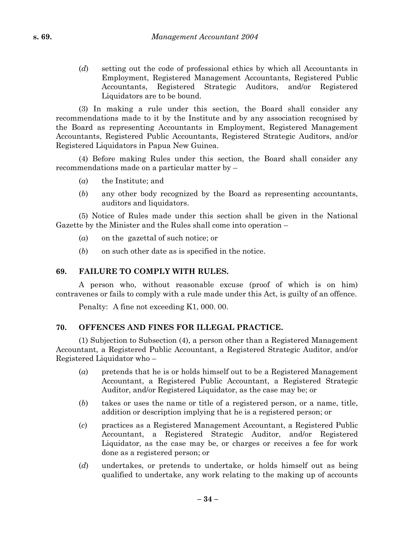(*d*) setting out the code of professional ethics by which all Accountants in Employment, Registered Management Accountants, Registered Public Accountants, Registered Strategic Auditors, and/or Registered Liquidators are to be bound.

(3) In making a rule under this section, the Board shall consider any recommendations made to it by the Institute and by any association recognised by the Board as representing Accountants in Employment, Registered Management Accountants, Registered Public Accountants, Registered Strategic Auditors, and/or Registered Liquidators in Papua New Guinea.

(4) Before making Rules under this section, the Board shall consider any recommendations made on a particular matter by –

- (*a*) the Institute; and
- (*b*) any other body recognized by the Board as representing accountants, auditors and liquidators.

(5) Notice of Rules made under this section shall be given in the National Gazette by the Minister and the Rules shall come into operation –

- (*a*) on the gazettal of such notice; or
- (*b*) on such other date as is specified in the notice.

### **69. FAILURE TO COMPLY WITH RULES.**

A person who, without reasonable excuse (proof of which is on him) contravenes or fails to comply with a rule made under this Act, is guilty of an offence.

Penalty: A fine not exceeding K1, 000. 00.

### **70. OFFENCES AND FINES FOR ILLEGAL PRACTICE.**

(1) Subjection to Subsection (4), a person other than a Registered Management Accountant, a Registered Public Accountant, a Registered Strategic Auditor, and/or Registered Liquidator who –

- (*a*) pretends that he is or holds himself out to be a Registered Management Accountant, a Registered Public Accountant, a Registered Strategic Auditor, and/or Registered Liquidator, as the case may be; or
- (*b*) takes or uses the name or title of a registered person, or a name, title, addition or description implying that he is a registered person; or
- (*c*) practices as a Registered Management Accountant, a Registered Public Accountant, a Registered Strategic Auditor, and/or Registered Liquidator, as the case may be, or charges or receives a fee for work done as a registered person; or
- (*d*) undertakes, or pretends to undertake, or holds himself out as being qualified to undertake, any work relating to the making up of accounts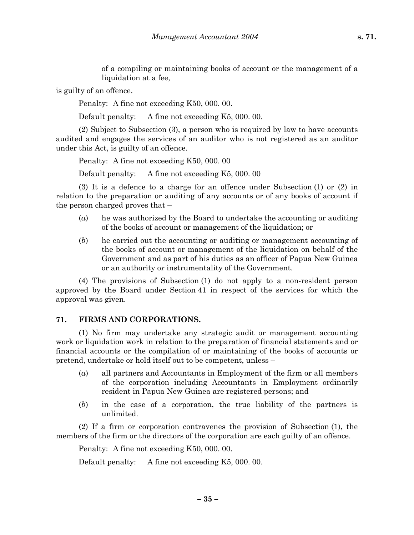of a compiling or maintaining books of account or the management of a liquidation at a fee,

is guilty of an offence.

Penalty: A fine not exceeding K50, 000. 00.

Default penalty: A fine not exceeding K5, 000. 00.

(2) Subject to Subsection (3), a person who is required by law to have accounts audited and engages the services of an auditor who is not registered as an auditor under this Act, is guilty of an offence.

Penalty: A fine not exceeding K50, 000. 00

Default penalty: A fine not exceeding K5, 000. 00

(3) It is a defence to a charge for an offence under Subsection (1) or (2) in relation to the preparation or auditing of any accounts or of any books of account if the person charged proves that –

- (*a*) he was authorized by the Board to undertake the accounting or auditing of the books of account or management of the liquidation; or
- (*b*) he carried out the accounting or auditing or management accounting of the books of account or management of the liquidation on behalf of the Government and as part of his duties as an officer of Papua New Guinea or an authority or instrumentality of the Government.

(4) The provisions of Subsection (1) do not apply to a non-resident person approved by the Board under Section 41 in respect of the services for which the approval was given.

#### **71. FIRMS AND CORPORATIONS.**

(1) No firm may undertake any strategic audit or management accounting work or liquidation work in relation to the preparation of financial statements and or financial accounts or the compilation of or maintaining of the books of accounts or pretend, undertake or hold itself out to be competent, unless –

- (*a*) all partners and Accountants in Employment of the firm or all members of the corporation including Accountants in Employment ordinarily resident in Papua New Guinea are registered persons; and
- (*b*) in the case of a corporation, the true liability of the partners is unlimited.

(2) If a firm or corporation contravenes the provision of Subsection (1), the members of the firm or the directors of the corporation are each guilty of an offence.

Penalty: A fine not exceeding K50, 000. 00.

Default penalty: A fine not exceeding K5, 000. 00.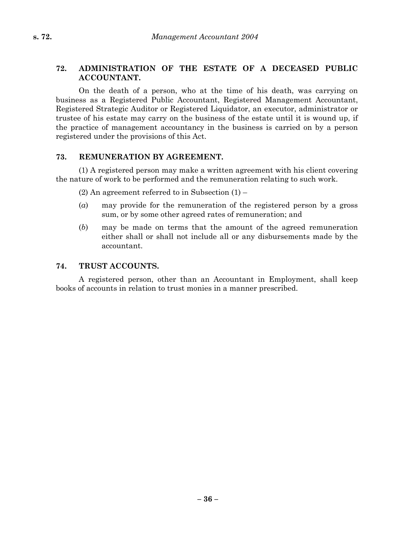### **72. ADMINISTRATION OF THE ESTATE OF A DECEASED PUBLIC ACCOUNTANT.**

On the death of a person, who at the time of his death, was carrying on business as a Registered Public Accountant, Registered Management Accountant, Registered Strategic Auditor or Registered Liquidator, an executor, administrator or trustee of his estate may carry on the business of the estate until it is wound up, if the practice of management accountancy in the business is carried on by a person registered under the provisions of this Act.

#### **73. REMUNERATION BY AGREEMENT.**

(1) A registered person may make a written agreement with his client covering the nature of work to be performed and the remuneration relating to such work.

 $(2)$  An agreement referred to in Subsection  $(1)$  –

- (*a*) may provide for the remuneration of the registered person by a gross sum, or by some other agreed rates of remuneration; and
- (*b*) may be made on terms that the amount of the agreed remuneration either shall or shall not include all or any disbursements made by the accountant.

#### **74. TRUST ACCOUNTS.**

A registered person, other than an Accountant in Employment, shall keep books of accounts in relation to trust monies in a manner prescribed.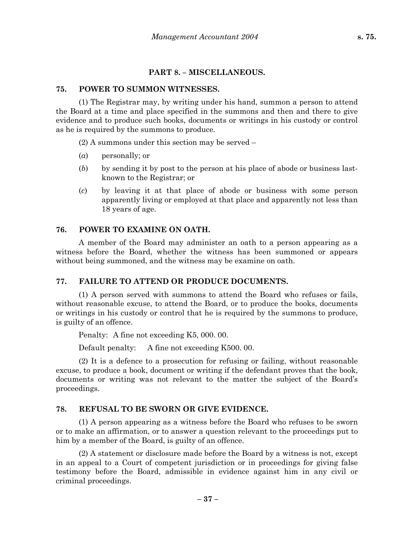#### **PART 8. – MISCELLANEOUS.**

#### **75. POWER TO SUMMON WITNESSES.**

(1) The Registrar may, by writing under his hand, summon a person to attend the Board at a time and place specified in the summons and then and there to give evidence and to produce such books, documents or writings in his custody or control as he is required by the summons to produce.

(2) A summons under this section may be served –

- (*a*) personally; or
- (*b*) by sending it by post to the person at his place of abode or business lastknown to the Registrar; or
- (*c*) by leaving it at that place of abode or business with some person apparently living or employed at that place and apparently not less than 18 years of age.

#### **76. POWER TO EXAMINE ON OATH.**

A member of the Board may administer an oath to a person appearing as a witness before the Board, whether the witness has been summoned or appears without being summoned, and the witness may be examine on oath.

### **77. FAILURE TO ATTEND OR PRODUCE DOCUMENTS.**

(1) A person served with summons to attend the Board who refuses or fails, without reasonable excuse, to attend the Board, or to produce the books, documents or writings in his custody or control that he is required by the summons to produce, is guilty of an offence.

Penalty: A fine not exceeding K5, 000. 00.

Default penalty: A fine not exceeding K500. 00.

(2) It is a defence to a prosecution for refusing or failing, without reasonable excuse, to produce a book, document or writing if the defendant proves that the book, documents or writing was not relevant to the matter the subject of the Board's proceedings.

### **78. REFUSAL TO BE SWORN OR GIVE EVIDENCE.**

(1) A person appearing as a witness before the Board who refuses to be sworn or to make an affirmation, or to answer a question relevant to the proceedings put to him by a member of the Board, is guilty of an offence.

(2) A statement or disclosure made before the Board by a witness is not, except in an appeal to a Court of competent jurisdiction or in proceedings for giving false testimony before the Board, admissible in evidence against him in any civil or criminal proceedings.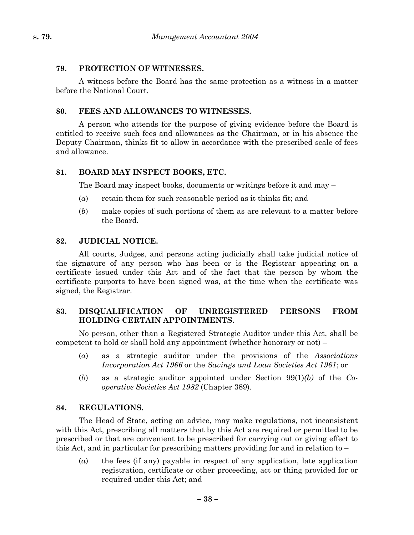### **79. PROTECTION OF WITNESSES.**

A witness before the Board has the same protection as a witness in a matter before the National Court.

### **80. FEES AND ALLOWANCES TO WITNESSES.**

A person who attends for the purpose of giving evidence before the Board is entitled to receive such fees and allowances as the Chairman, or in his absence the Deputy Chairman, thinks fit to allow in accordance with the prescribed scale of fees and allowance.

#### **81. BOARD MAY INSPECT BOOKS, ETC.**

The Board may inspect books, documents or writings before it and may –

- $(a)$  retain them for such reasonable period as it thinks fit; and
- (*b*) make copies of such portions of them as are relevant to a matter before the Board.

#### **82. JUDICIAL NOTICE.**

All courts, Judges, and persons acting judicially shall take judicial notice of the signature of any person who has been or is the Registrar appearing on a certificate issued under this Act and of the fact that the person by whom the certificate purports to have been signed was, at the time when the certificate was signed, the Registrar.

#### **83. DISQUALIFICATION OF UNREGISTERED PERSONS FROM HOLDING CERTAIN APPOINTMENTS.**

No person, other than a Registered Strategic Auditor under this Act, shall be competent to hold or shall hold any appointment (whether honorary or not) –

- (*a*) as a strategic auditor under the provisions of the *Associations Incorporation Act 1966* or the *Savings and Loan Societies Act 1961*; or
- (*b*) as a strategic auditor appointed under Section 99(1)*(b)* of the *Cooperative Societies Act 1982* (Chapter 389).

#### **84. REGULATIONS.**

The Head of State, acting on advice, may make regulations, not inconsistent with this Act, prescribing all matters that by this Act are required or permitted to be prescribed or that are convenient to be prescribed for carrying out or giving effect to this Act, and in particular for prescribing matters providing for and in relation to –

(*a*) the fees (if any) payable in respect of any application, late application registration, certificate or other proceeding, act or thing provided for or required under this Act; and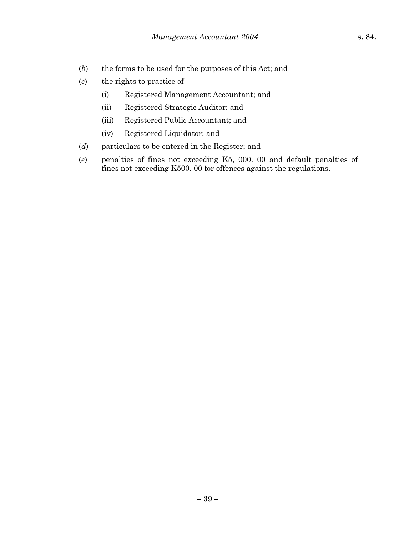- (*b*) the forms to be used for the purposes of this Act; and
- (*c*) the rights to practice of
	- (i) Registered Management Accountant; and
	- (ii) Registered Strategic Auditor; and
	- (iii) Registered Public Accountant; and
	- (iv) Registered Liquidator; and
- (*d*) particulars to be entered in the Register; and
- (*e*) penalties of fines not exceeding K5, 000. 00 and default penalties of fines not exceeding K500. 00 for offences against the regulations.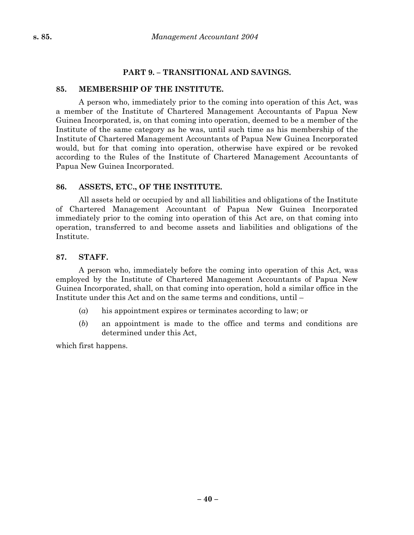### **PART 9. – TRANSITIONAL AND SAVINGS.**

#### **85. MEMBERSHIP OF THE INSTITUTE.**

A person who, immediately prior to the coming into operation of this Act, was a member of the Institute of Chartered Management Accountants of Papua New Guinea Incorporated, is, on that coming into operation, deemed to be a member of the Institute of the same category as he was, until such time as his membership of the Institute of Chartered Management Accountants of Papua New Guinea Incorporated would, but for that coming into operation, otherwise have expired or be revoked according to the Rules of the Institute of Chartered Management Accountants of Papua New Guinea Incorporated.

#### **86. ASSETS, ETC., OF THE INSTITUTE.**

All assets held or occupied by and all liabilities and obligations of the Institute of Chartered Management Accountant of Papua New Guinea Incorporated immediately prior to the coming into operation of this Act are, on that coming into operation, transferred to and become assets and liabilities and obligations of the Institute.

#### **87. STAFF.**

A person who, immediately before the coming into operation of this Act, was employed by the Institute of Chartered Management Accountants of Papua New Guinea Incorporated, shall, on that coming into operation, hold a similar office in the Institute under this Act and on the same terms and conditions, until –

- (*a*) his appointment expires or terminates according to law; or
- (*b*) an appointment is made to the office and terms and conditions are determined under this Act,

which first happens.